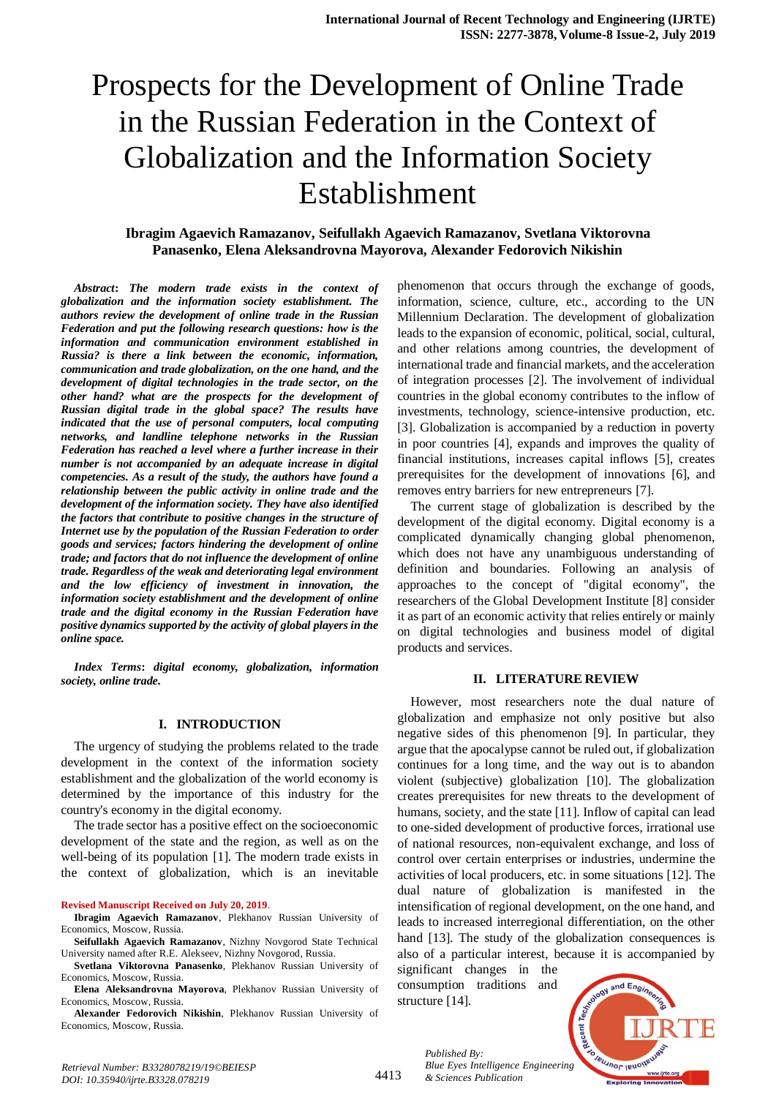# **Ibragim Agaevich Ramazanov, Seifullakh Agaevich Ramazanov, Svetlana Viktorovna Panasenko, Elena Aleksandrovna Mayorova, Alexander Fedorovich Nikishin**

*Abstract***:** *The modern trade exists in the context of globalization and the information society establishment. The authors review the development of online trade in the Russian Federation and put the following research questions: how is the information and communication environment established in Russia? is there a link between the economic, information, communication and trade globalization, on the one hand, and the development of digital technologies in the trade sector, on the other hand? what are the prospects for the development of Russian digital trade in the global space? The results have indicated that the use of personal computers, local computing networks, and landline telephone networks in the Russian Federation has reached a level where a further increase in their number is not accompanied by an adequate increase in digital competencies. As a result of the study, the authors have found a relationship between the public activity in online trade and the development of the information society. They have also identified the factors that contribute to positive changes in the structure of Internet use by the population of the Russian Federation to order goods and services; factors hindering the development of online trade; and factors that do not influence the development of online trade. Regardless of the weak and deteriorating legal environment and the low efficiency of investment in innovation, the information society establishment and the development of online trade and the digital economy in the Russian Federation have positive dynamics supported by the activity of global players in the online space.*

*Index Terms***:** *digital economy, globalization, information society, online trade.*

#### **I. INTRODUCTION**

The urgency of studying the problems related to the trade development in the context of the information society establishment and the globalization of the world economy is determined by the importance of this industry for the country's economy in the digital economy.

The trade sector has a positive effect on the socioeconomic development of the state and the region, as well as on the well-being of its population [1]. The modern trade exists in the context of globalization, which is an inevitable

#### **Revised Manuscript Received on July 20, 2019**.

**Seifullakh Agaevich Ramazanov**, Nizhny Novgorod State Technical University named after R.E. Alekseev, Nizhny Novgorod, Russia.

**Svetlana Viktorovna Panasenko**, Plekhanov Russian University of Economics, Moscow, Russia.

**Elena Aleksandrovna Mayorova**, Plekhanov Russian University of Economics, Moscow, Russia.

**Alexander Fedorovich Nikishin**, Plekhanov Russian University of Economics, Moscow, Russia.

phenomenon that occurs through the exchange of goods, information, science, culture, etc., according to the UN Millennium Declaration. The development of globalization leads to the expansion of economic, political, social, cultural, and other relations among countries, the development of international trade and financial markets, and the acceleration of integration processes [2]. The involvement of individual countries in the global economy contributes to the inflow of investments, technology, science-intensive production, etc. [3]. Globalization is accompanied by a reduction in poverty in poor countries [4], expands and improves the quality of financial institutions, increases capital inflows [5], creates prerequisites for the development of innovations [6], and removes entry barriers for new entrepreneurs [7].

The current stage of globalization is described by the development of the digital economy. Digital economy is a complicated dynamically changing global phenomenon, which does not have any unambiguous understanding of definition and boundaries. Following an analysis of approaches to the concept of "digital economy", the researchers of the Global Development Institute [8] consider it as part of an economic activity that relies entirely or mainly on digital technologies and business model of digital products and services.

#### **II. LITERATURE REVIEW**

However, most researchers note the dual nature of globalization and emphasize not only positive but also negative sides of this phenomenon [9]. In particular, they argue that the apocalypse cannot be ruled out, if globalization continues for a long time, and the way out is to abandon violent (subjective) globalization [10]. The globalization creates prerequisites for new threats to the development of humans, society, and the state [11]. Inflow of capital can lead to one-sided development of productive forces, irrational use of national resources, non-equivalent exchange, and loss of control over certain enterprises or industries, undermine the activities of local producers, etc. in some situations [12]. The dual nature of globalization is manifested in the intensification of regional development, on the one hand, and leads to increased interregional differentiation, on the other hand [13]. The study of the globalization consequences is also of a particular interest, because it is accompanied by

significant changes in the consumption traditions and structure [14].



*Published By: Blue Eyes Intelligence Engineering & Sciences Publication* 

4413

**Ibragim Agaevich Ramazanov**, Plekhanov Russian University of Economics, Moscow, Russia.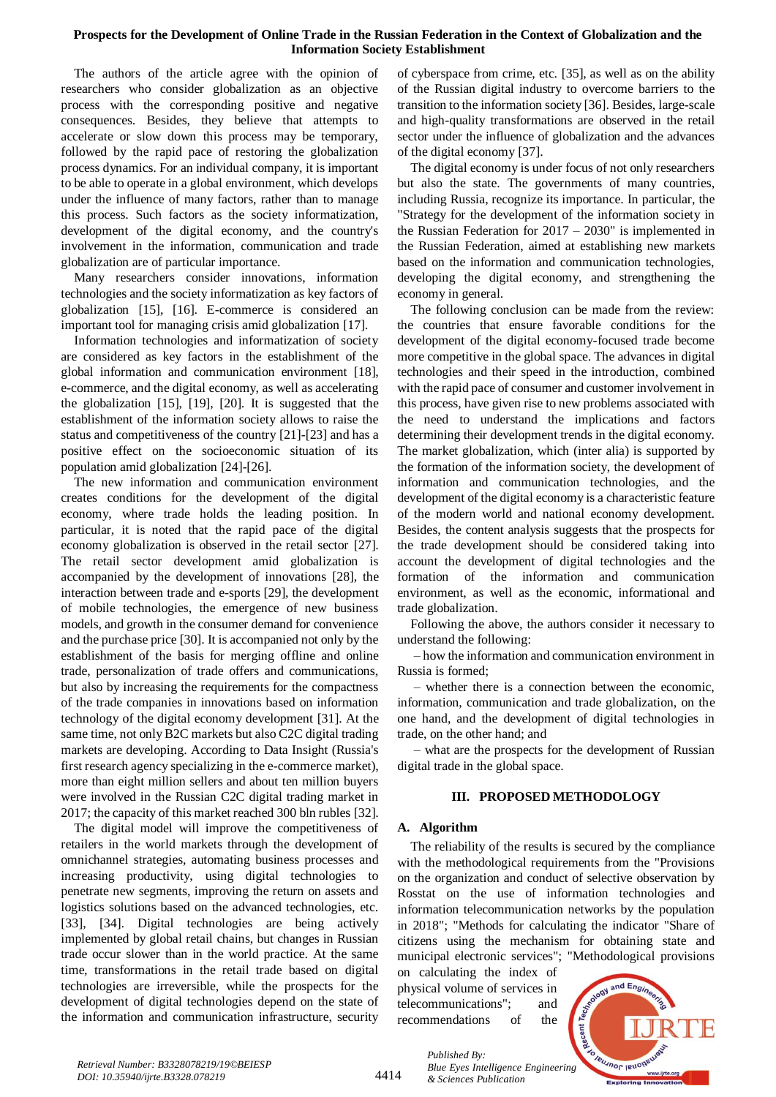The authors of the article agree with the opinion of researchers who consider globalization as an objective process with the corresponding positive and negative consequences. Besides, they believe that attempts to accelerate or slow down this process may be temporary, followed by the rapid pace of restoring the globalization process dynamics. For an individual company, it is important to be able to operate in a global environment, which develops under the influence of many factors, rather than to manage this process. Such factors as the society informatization, development of the digital economy, and the country's involvement in the information, communication and trade globalization are of particular importance.

Many researchers consider innovations, information technologies and the society informatization as key factors of globalization [15], [16]. E-commerce is considered an important tool for managing crisis amid globalization [17].

Information technologies and informatization of society are considered as key factors in the establishment of the global information and communication environment [18], e-commerce, and the digital economy, as well as accelerating the globalization [15], [19], [20]. It is suggested that the establishment of the information society allows to raise the status and competitiveness of the country [21]-[23] and has a positive effect on the socioeconomic situation of its population amid globalization [24]-[26].

The new information and communication environment creates conditions for the development of the digital economy, where trade holds the leading position. In particular, it is noted that the rapid pace of the digital economy globalization is observed in the retail sector [27]. The retail sector development amid globalization is accompanied by the development of innovations [28], the interaction between trade and e-sports [29], the development of mobile technologies, the emergence of new business models, and growth in the consumer demand for convenience and the purchase price [30]. It is accompanied not only by the establishment of the basis for merging offline and online trade, personalization of trade offers and communications, but also by increasing the requirements for the compactness of the trade companies in innovations based on information technology of the digital economy development [31]. At the same time, not only B2C markets but also C2C digital trading markets are developing. According to Data Insight (Russia's first research agency specializing in the e-commerce market), more than eight million sellers and about ten million buyers were involved in the Russian C2C digital trading market in 2017; the capacity of this market reached 300 bln rubles [32].

The digital model will improve the competitiveness of retailers in the world markets through the development of omnichannel strategies, automating business processes and increasing productivity, using digital technologies to penetrate new segments, improving the return on assets and logistics solutions based on the advanced technologies, etc. [33], [34]. Digital technologies are being actively implemented by global retail chains, but changes in Russian trade occur slower than in the world practice. At the same time, transformations in the retail trade based on digital technologies are irreversible, while the prospects for the development of digital technologies depend on the state of the information and communication infrastructure, security of cyberspace from crime, etc. [35], as well as on the ability of the Russian digital industry to overcome barriers to the transition to the information society [36]. Besides, large-scale and high-quality transformations are observed in the retail sector under the influence of globalization and the advances of the digital economy [37].

The digital economy is under focus of not only researchers but also the state. The governments of many countries, including Russia, recognize its importance. In particular, the "Strategy for the development of the information society in the Russian Federation for 2017 – 2030" is implemented in the Russian Federation, aimed at establishing new markets based on the information and communication technologies, developing the digital economy, and strengthening the economy in general.

The following conclusion can be made from the review: the countries that ensure favorable conditions for the development of the digital economy-focused trade become more competitive in the global space. The advances in digital technologies and their speed in the introduction, combined with the rapid pace of consumer and customer involvement in this process, have given rise to new problems associated with the need to understand the implications and factors determining their development trends in the digital economy. The market globalization, which (inter alia) is supported by the formation of the information society, the development of information and communication technologies, and the development of the digital economy is a characteristic feature of the modern world and national economy development. Besides, the content analysis suggests that the prospects for the trade development should be considered taking into account the development of digital technologies and the formation of the information and communication environment, as well as the economic, informational and trade globalization.

Following the above, the authors consider it necessary to understand the following:

– how the information and communication environment in Russia is formed;

– whether there is a connection between the economic, information, communication and trade globalization, on the one hand, and the development of digital technologies in trade, on the other hand; and

– what are the prospects for the development of Russian digital trade in the global space.

# **III. PROPOSED METHODOLOGY**

## **A. Algorithm**

The reliability of the results is secured by the compliance with the methodological requirements from the "Provisions on the organization and conduct of selective observation by Rosstat on the use of information technologies and information telecommunication networks by the population in 2018"; "Methods for calculating the indicator "Share of citizens using the mechanism for obtaining state and municipal electronic services"; "Methodological provisions

on calculating the index of physical volume of services in telecommunications"; and recommendations of the



*Published By: Blue Eyes Intelligence Engineering & Sciences Publication*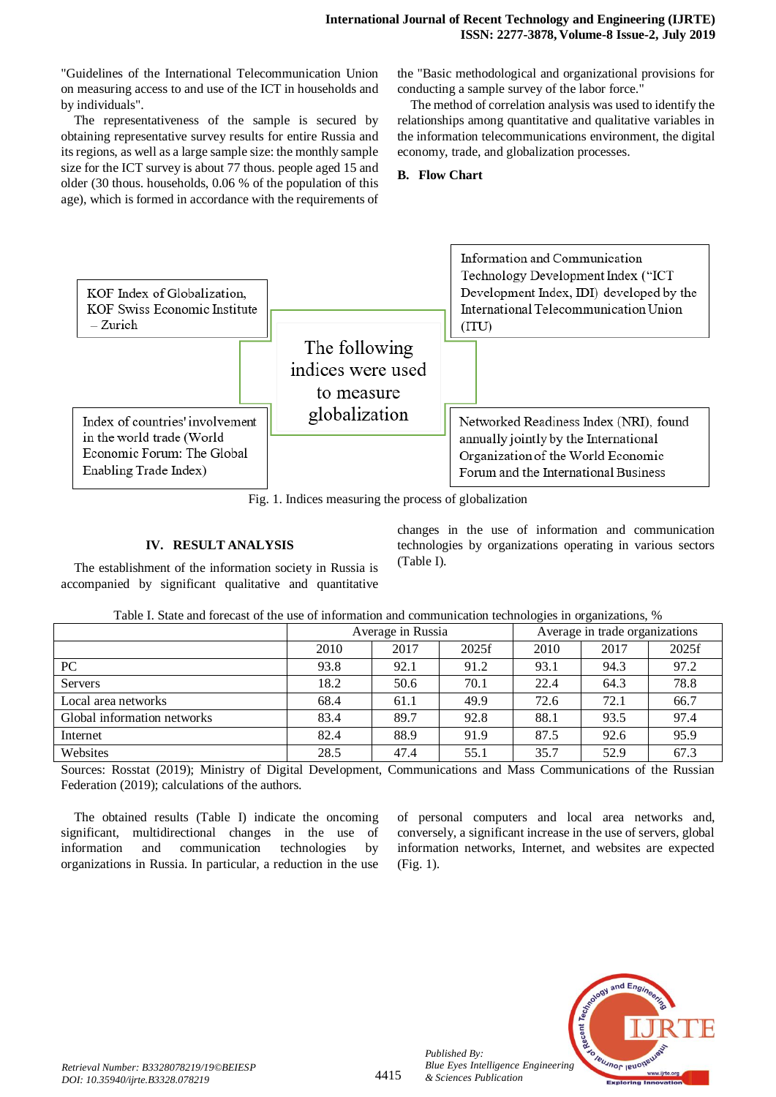"Guidelines of the International Telecommunication Union on measuring access to and use of the ICT in households and by individuals".

The representativeness of the sample is secured by obtaining representative survey results for entire Russia and its regions, as well as a large sample size: the monthly sample size for the ICT survey is about 77 thous. people aged 15 and older (30 thous. households, 0.06 % of the population of this age), which is formed in accordance with the requirements of

the "Basic methodological and organizational provisions for conducting a sample survey of the labor force."

The method of correlation analysis was used to identify the relationships among quantitative and qualitative variables in the information telecommunications environment, the digital economy, trade, and globalization processes.

#### **B. Flow Chart**



Fig. 1. Indices measuring the process of globalization

## **IV. RESULT ANALYSIS**

The establishment of the information society in Russia is accompanied by significant qualitative and quantitative changes in the use of information and communication technologies by organizations operating in various sectors (Table I).

| Table I. State and forecast of the use of information and communication technologies in organizations, % |  |  |
|----------------------------------------------------------------------------------------------------------|--|--|
|                                                                                                          |  |  |

|                             |      | Average in Russia |       | Average in trade organizations |      |       |  |
|-----------------------------|------|-------------------|-------|--------------------------------|------|-------|--|
|                             | 2010 | 2017              | 2025f | 2010                           | 2017 | 2025f |  |
| PC                          | 93.8 | 92.1              | 91.2  | 93.1                           | 94.3 | 97.2  |  |
| <b>Servers</b>              | 18.2 | 50.6              | 70.1  | 22.4                           | 64.3 | 78.8  |  |
| Local area networks         | 68.4 | 61.1              | 49.9  | 72.6                           | 72.1 | 66.7  |  |
| Global information networks | 83.4 | 89.7              | 92.8  | 88.1                           | 93.5 | 97.4  |  |
| Internet                    | 82.4 | 88.9              | 91.9  | 87.5                           | 92.6 | 95.9  |  |
| Websites                    | 28.5 | 47.4              | 55.1  | 35.7                           | 52.9 | 67.3  |  |

Sources: Rosstat (2019); Ministry of Digital Development, Communications and Mass Communications of the Russian Federation (2019); calculations of the authors.

The obtained results (Table I) indicate the oncoming significant, multidirectional changes in the use of information and communication technologies by organizations in Russia. In particular, a reduction in the use

of personal computers and local area networks and, conversely, a significant increase in the use of servers, global information networks, Internet, and websites are expected (Fig. 1).



*Published By:*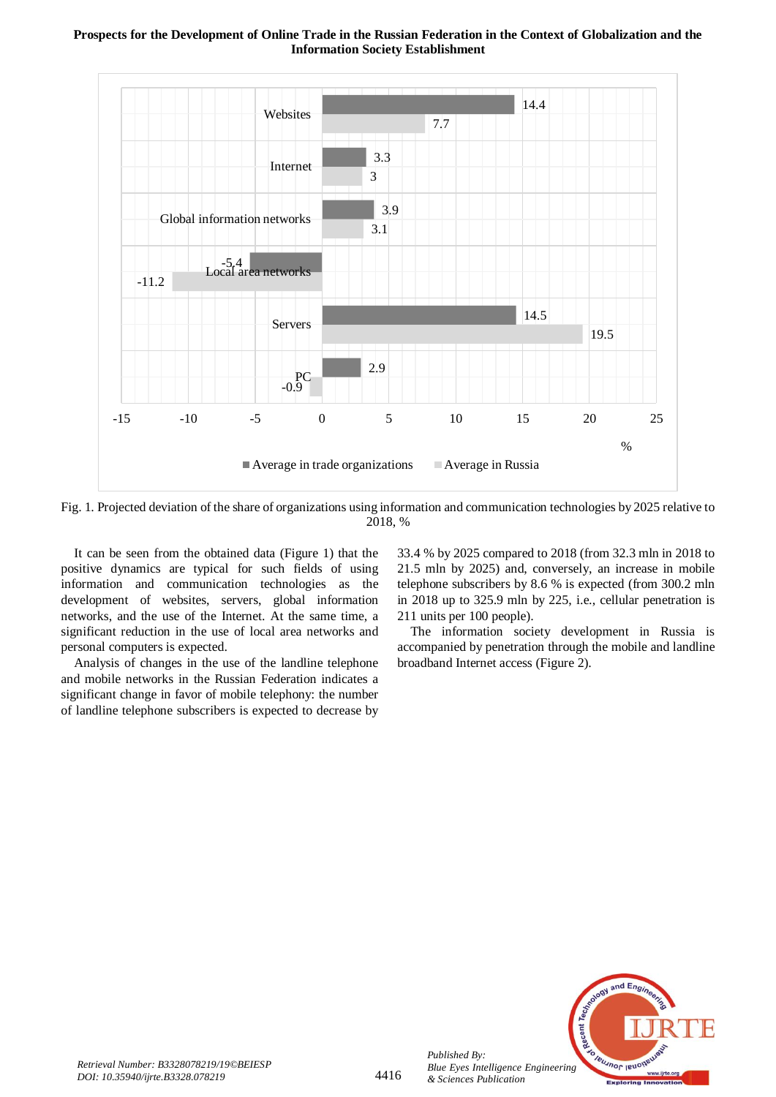

Fig. 1. Projected deviation of the share of organizations using information and communication technologies by 2025 relative to 2018, %

It can be seen from the obtained data (Figure 1) that the positive dynamics are typical for such fields of using information and communication technologies as the development of websites, servers, global information networks, and the use of the Internet. At the same time, a significant reduction in the use of local area networks and personal computers is expected.

Analysis of changes in the use of the landline telephone and mobile networks in the Russian Federation indicates a significant change in favor of mobile telephony: the number of landline telephone subscribers is expected to decrease by 33.4 % by 2025 compared to 2018 (from 32.3 mln in 2018 to 21.5 mln by 2025) and, conversely, an increase in mobile telephone subscribers by 8.6 % is expected (from 300.2 mln in 2018 up to 325.9 mln by 225, i.e., cellular penetration is 211 units per 100 people).

The information society development in Russia is accompanied by penetration through the mobile and landline broadband Internet access (Figure 2).



*Published By:*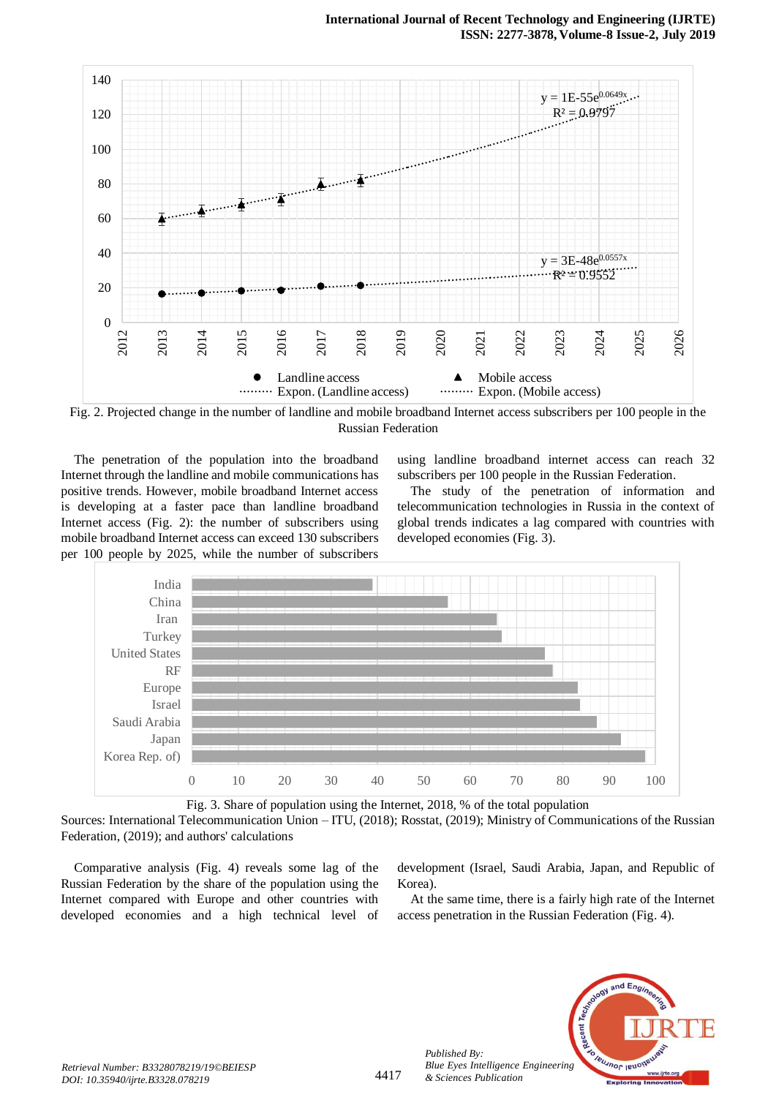

Fig. 2. Projected change in the number of landline and mobile broadband Internet access subscribers per 100 people in the Russian Federation

The penetration of the population into the broadband Internet through the landline and mobile communications has positive trends. However, mobile broadband Internet access is developing at a faster pace than landline broadband Internet access (Fig. 2): the number of subscribers using mobile broadband Internet access can exceed 130 subscribers per 100 people by 2025, while the number of subscribers

using landline broadband internet access can reach 32 subscribers per 100 people in the Russian Federation.

The study of the penetration of information and telecommunication technologies in Russia in the context of global trends indicates a lag compared with countries with developed economies (Fig. 3).



Fig. 3. Share of population using the Internet, 2018, % of the total population

Sources: International Telecommunication Union – ITU, (2018); Rosstat, (2019); Ministry of Communications of the Russian Federation, (2019); and authors' calculations

Comparative analysis (Fig. 4) reveals some lag of the Russian Federation by the share of the population using the Internet compared with Europe and other countries with developed economies and a high technical level of development (Israel, Saudi Arabia, Japan, and Republic of Korea).

At the same time, there is a fairly high rate of the Internet access penetration in the Russian Federation (Fig. 4).



*Published By:*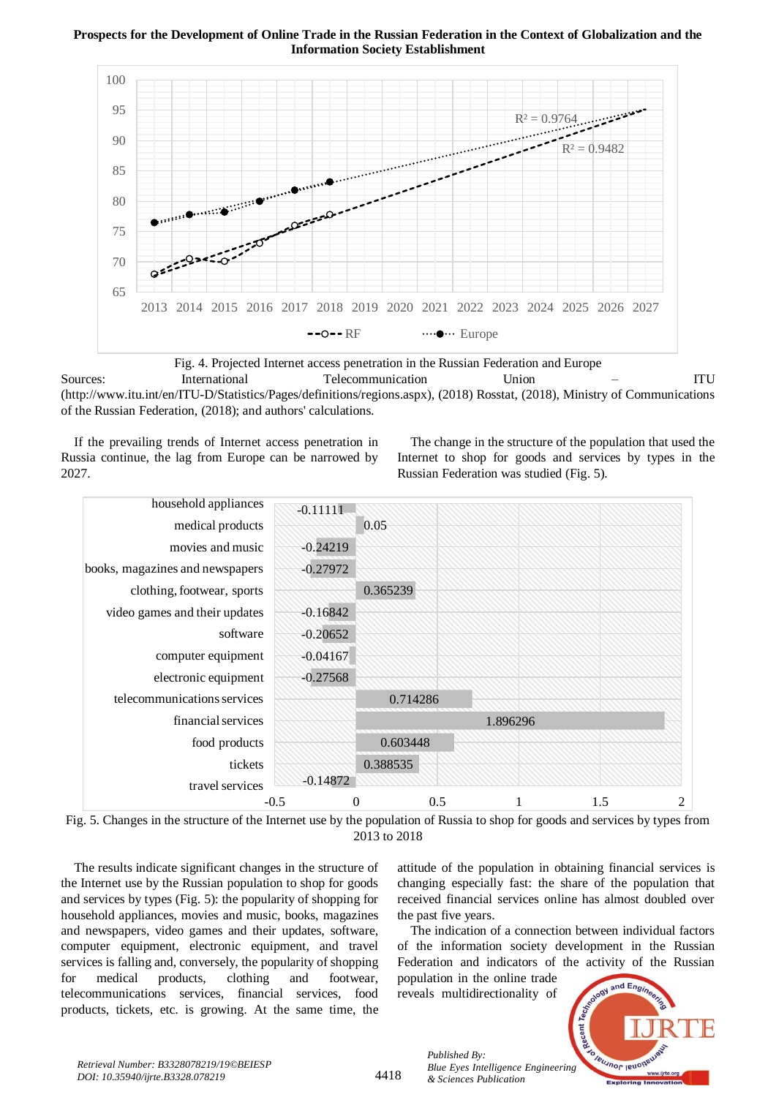

Fig. 4. Projected Internet access penetration in the Russian Federation and Europe Sources: International Telecommunication Union – ITU (http://www.itu.int/en/ITU-D/Statistics/Pages/definitions/regions.aspx), (2018) Rosstat, (2018), Ministry of Communications

of the Russian Federation, (2018); and authors' calculations.

If the prevailing trends of Internet access penetration in Russia continue, the lag from Europe can be narrowed by 2027.

The change in the structure of the population that used the Internet to shop for goods and services by types in the Russian Federation was studied (Fig. 5).



Fig. 5. Changes in the structure of the Internet use by the population of Russia to shop for goods and services by types from 2013 to 2018

The results indicate significant changes in the structure of the Internet use by the Russian population to shop for goods and services by types (Fig. 5): the popularity of shopping for household appliances, movies and music, books, magazines and newspapers, video games and their updates, software, computer equipment, electronic equipment, and travel services is falling and, conversely, the popularity of shopping for medical products, clothing and footwear, telecommunications services, financial services, food products, tickets, etc. is growing. At the same time, the attitude of the population in obtaining financial services is changing especially fast: the share of the population that received financial services online has almost doubled over the past five years.

The indication of a connection between individual factors of the information society development in the Russian Federation and indicators of the activity of the Russian

population in the online trade reveals multidirectionality of



4418

*Published By: Blue Eyes Intelligence Engineering & Sciences Publication*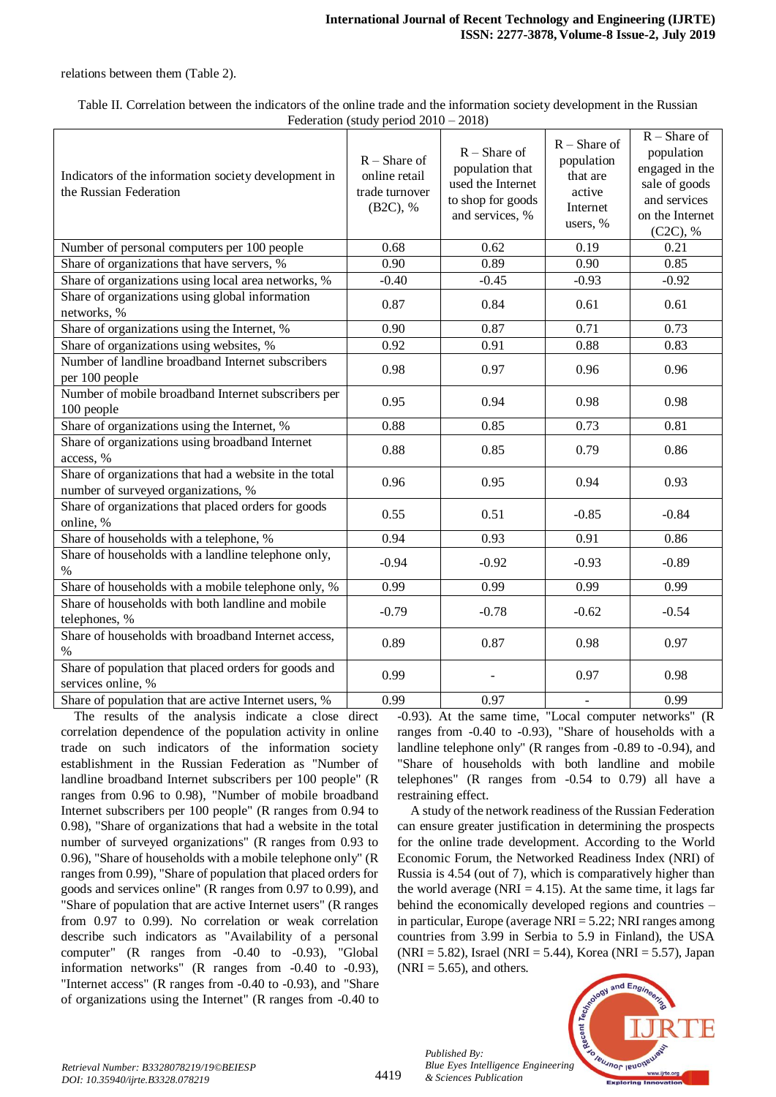relations between them (Table 2).

Table II. Correlation between the indicators of the online trade and the information society development in the Russian Federation (study period 2010 – 2018)

| Indicators of the information society development in<br>the Russian Federation                | $R$ – Share of<br>online retail<br>trade turnover<br>(B2C), % | $R$ – Share of<br>population that<br>used the Internet<br>to shop for goods<br>and services, % | $R$ – Share of<br>population<br>that are<br>active<br>Internet<br>users, % | $R -$ Share of<br>population<br>engaged in the<br>sale of goods<br>and services<br>on the Internet<br>(C2C), % |
|-----------------------------------------------------------------------------------------------|---------------------------------------------------------------|------------------------------------------------------------------------------------------------|----------------------------------------------------------------------------|----------------------------------------------------------------------------------------------------------------|
| Number of personal computers per 100 people                                                   | 0.68                                                          | 0.62                                                                                           | 0.19                                                                       | 0.21                                                                                                           |
| Share of organizations that have servers, %                                                   | 0.90                                                          | 0.89                                                                                           | 0.90                                                                       | 0.85                                                                                                           |
| Share of organizations using local area networks, %                                           | $-0.40$                                                       | $-0.45$                                                                                        | $-0.93$                                                                    | $-0.92$                                                                                                        |
| Share of organizations using global information<br>networks, %                                | 0.87                                                          | 0.84                                                                                           | 0.61                                                                       | 0.61                                                                                                           |
| Share of organizations using the Internet, %                                                  | 0.90                                                          | 0.87                                                                                           | 0.71                                                                       | 0.73                                                                                                           |
| Share of organizations using websites, %                                                      | 0.92                                                          | 0.91                                                                                           | 0.88                                                                       | 0.83                                                                                                           |
| Number of landline broadband Internet subscribers<br>per 100 people                           | 0.98                                                          | 0.97                                                                                           | 0.96                                                                       | 0.96                                                                                                           |
| Number of mobile broadband Internet subscribers per<br>100 people                             | 0.95                                                          | 0.94                                                                                           | 0.98                                                                       | 0.98                                                                                                           |
| Share of organizations using the Internet, %                                                  | 0.88                                                          | 0.85                                                                                           | 0.73                                                                       | $\overline{0.81}$                                                                                              |
| Share of organizations using broadband Internet<br>access, %                                  | 0.88                                                          | 0.85                                                                                           | 0.79                                                                       | 0.86                                                                                                           |
| Share of organizations that had a website in the total<br>number of surveyed organizations, % | 0.96                                                          | 0.95                                                                                           | 0.94                                                                       | 0.93                                                                                                           |
| Share of organizations that placed orders for goods<br>online, %                              | 0.55                                                          | 0.51                                                                                           | $-0.85$                                                                    | $-0.84$                                                                                                        |
| Share of households with a telephone, %                                                       | 0.94                                                          | 0.93                                                                                           | 0.91                                                                       | 0.86                                                                                                           |
| Share of households with a landline telephone only,<br>$\%$                                   | $-0.94$                                                       | $-0.92$                                                                                        | $-0.93$                                                                    | $-0.89$                                                                                                        |
| Share of households with a mobile telephone only, %                                           | 0.99                                                          | 0.99                                                                                           | 0.99                                                                       | 0.99                                                                                                           |
| Share of households with both landline and mobile<br>telephones, %                            | $-0.79$                                                       | $-0.78$                                                                                        | $-0.62$                                                                    | $-0.54$                                                                                                        |
| Share of households with broadband Internet access,<br>$\%$                                   | 0.89                                                          | 0.87                                                                                           | 0.98                                                                       | 0.97                                                                                                           |
| Share of population that placed orders for goods and<br>services online, %                    | 0.99                                                          |                                                                                                | 0.97                                                                       | 0.98                                                                                                           |
| Share of population that are active Internet users, %                                         | 0.99                                                          | 0.97                                                                                           | $\overline{a}$                                                             | 0.99                                                                                                           |

The results of the analysis indicate a close direct correlation dependence of the population activity in online trade on such indicators of the information society establishment in the Russian Federation as "Number of landline broadband Internet subscribers per 100 people" (R ranges from 0.96 to 0.98), "Number of mobile broadband Internet subscribers per 100 people" (R ranges from 0.94 to 0.98), "Share of organizations that had a website in the total number of surveyed organizations" (R ranges from 0.93 to 0.96), "Share of households with a mobile telephone only" (R ranges from 0.99), "Share of population that placed orders for goods and services online" (R ranges from 0.97 to 0.99), and "Share of population that are active Internet users" (R ranges from 0.97 to 0.99). No correlation or weak correlation describe such indicators as "Availability of a personal computer" (R ranges from -0.40 to -0.93), "Global information networks" (R ranges from -0.40 to -0.93), "Internet access" (R ranges from -0.40 to -0.93), and "Share of organizations using the Internet" (R ranges from -0.40 to

-0.93). At the same time, "Local computer networks" (R ranges from -0.40 to -0.93), "Share of households with a landline telephone only" (R ranges from -0.89 to -0.94), and "Share of households with both landline and mobile telephones" (R ranges from -0.54 to 0.79) all have a restraining effect.

A study of the network readiness of the Russian Federation can ensure greater justification in determining the prospects for the online trade development. According to the World Economic Forum, the Networked Readiness Index (NRI) of Russia is 4.54 (out of 7), which is comparatively higher than the world average (NRI  $=$  4.15). At the same time, it lags far behind the economically developed regions and countries – in particular, Europe (average  $NRI = 5.22$ ; NRI ranges among countries from 3.99 in Serbia to 5.9 in Finland), the USA  $(NRI = 5.82)$ , Israel (NRI = 5.44), Korea (NRI = 5.57), Japan  $(NRI = 5.65)$ , and others.



*Published By:*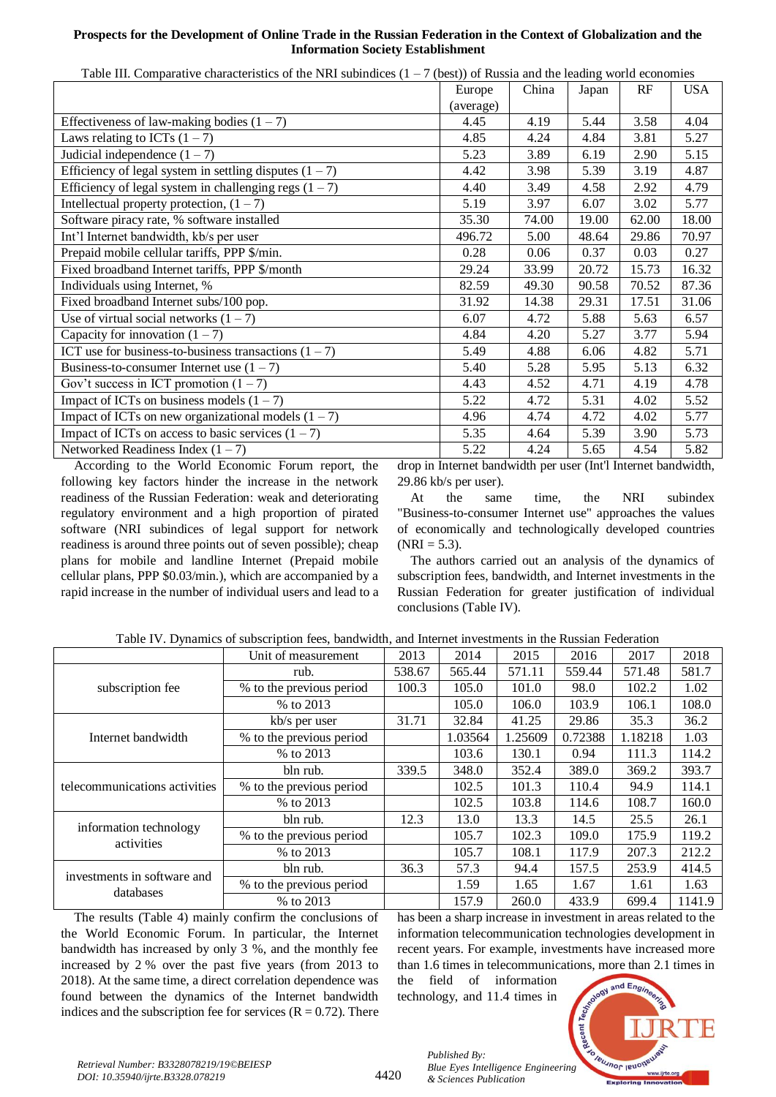|                                                                                     | $\frac{1}{2}$ (best)) of Frassia and the feature, world economies          |       |                   |       |            |
|-------------------------------------------------------------------------------------|----------------------------------------------------------------------------|-------|-------------------|-------|------------|
|                                                                                     | Europe                                                                     | China | Japan             | RF    | <b>USA</b> |
|                                                                                     | (average)                                                                  |       |                   |       |            |
| Effectiveness of law-making bodies $(1 – 7)$                                        | 4.45                                                                       | 4.19  | 5.44              | 3.58  | 4.04       |
| Laws relating to ICTs $(1 – 7)$                                                     | 4.85                                                                       | 4.24  | 4.84              | 3.81  | 5.27       |
| Judicial independence $(1 – 7)$                                                     | 5.23                                                                       | 3.89  | 6.19              | 2.90  | 5.15       |
| Efficiency of legal system in settling disputes $(1 – 7)$                           | 4.42                                                                       | 3.98  | 5.39              | 3.19  | 4.87       |
| Efficiency of legal system in challenging regs $(1 – 7)$                            | 4.40                                                                       | 3.49  | 4.58              | 2.92  | 4.79       |
| Intellectual property protection, $(1 – 7)$                                         | 5.19                                                                       | 3.97  | 6.07              | 3.02  | 5.77       |
| Software piracy rate, % software installed                                          | 35.30                                                                      | 74.00 | 19.00             | 62.00 | 18.00      |
| Int'l Internet bandwidth, kb/s per user                                             | 496.72                                                                     | 5.00  | 48.64             | 29.86 | 70.97      |
| Prepaid mobile cellular tariffs, PPP \$/min.                                        | 0.28                                                                       | 0.06  | 0.37              | 0.03  | 0.27       |
| Fixed broadband Internet tariffs, PPP \$/month                                      | 29.24                                                                      | 33.99 | 20.72             | 15.73 | 16.32      |
| Individuals using Internet, %                                                       | 82.59                                                                      | 49.30 | 90.58             | 70.52 | 87.36      |
| Fixed broadband Internet subs/100 pop.                                              | 31.92                                                                      | 14.38 | 29.31             | 17.51 | 31.06      |
| Use of virtual social networks $(1 – 7)$                                            | 6.07                                                                       | 4.72  | 5.88              | 5.63  | 6.57       |
| Capacity for innovation $(1 – 7)$                                                   | 4.84                                                                       | 4.20  | 5.27              | 3.77  | 5.94       |
| ICT use for business-to-business transactions $(1 – 7)$                             | 5.49                                                                       | 4.88  | 6.06              | 4.82  | 5.71       |
| Business-to-consumer Internet use $(1 – 7)$                                         | 5.40                                                                       | 5.28  | 5.95              | 5.13  | 6.32       |
| Gov't success in ICT promotion $(1 – 7)$                                            | 4.43                                                                       | 4.52  | 4.71              | 4.19  | 4.78       |
| Impact of ICTs on business models $(1 – 7)$                                         | 5.22                                                                       | 4.72  | 5.31              | 4.02  | 5.52       |
| Impact of ICTs on new organizational models $(1 – 7)$                               | 4.96                                                                       | 4.74  | 4.72              | 4.02  | 5.77       |
| Impact of ICTs on access to basic services $(1 – 7)$                                | 5.35                                                                       | 4.64  | 5.39              | 3.90  | 5.73       |
| Networked Readiness Index $(1 – 7)$                                                 | 5.22                                                                       | 4.24  | 5.65              | 4.54  | 5.82       |
| $\mathbf{A}$ and $\mathbf{B}$ are the state of $\mathbf{B}$<br>$-1$<br>$\mathbf{r}$ | $\cdot$ $\cdot$ $\cdot$<br>the contract of the contract of the contract of |       | $\pi$ $\pi$ $\pi$ |       | 1.111      |

Table III. Comparative characteristics of the NRI subindices  $(1 - 7$  (best)) of Russia and the leading world economies

According to the World Economic Forum report, the following key factors hinder the increase in the network readiness of the Russian Federation: weak and deteriorating regulatory environment and a high proportion of pirated software (NRI subindices of legal support for network readiness is around three points out of seven possible); cheap plans for mobile and landline Internet (Prepaid mobile cellular plans, PPP \$0.03/min.), which are accompanied by a rapid increase in the number of individual users and lead to a drop in Internet bandwidth per user (Int'l Internet bandwidth, 29.86 kb/s per user).

At the same time, the NRI subindex "Business-to-consumer Internet use" approaches the values of economically and technologically developed countries  $(NRI = 5.3)$ .

The authors carried out an analysis of the dynamics of subscription fees, bandwidth, and Internet investments in the Russian Federation for greater justification of individual conclusions (Table IV).

|                                      | Unit of measurement      | 2013   | 2014    | 2015    | 2016    | 2017    | 2018   |
|--------------------------------------|--------------------------|--------|---------|---------|---------|---------|--------|
|                                      | rub.                     | 538.67 | 565.44  | 571.11  | 559.44  | 571.48  | 581.7  |
| subscription fee                     | % to the previous period | 100.3  | 105.0   | 101.0   | 98.0    | 102.2   | 1.02   |
|                                      | % to 2013                |        | 105.0   | 106.0   | 103.9   | 106.1   | 108.0  |
|                                      | kb/s per user            | 31.71  | 32.84   | 41.25   | 29.86   | 35.3    | 36.2   |
| Internet bandwidth                   | % to the previous period |        | 1.03564 | 1.25609 | 0.72388 | 1.18218 | 1.03   |
|                                      | % to 2013                |        | 103.6   | 130.1   | 0.94    | 111.3   | 114.2  |
|                                      | bln rub.                 | 339.5  | 348.0   | 352.4   | 389.0   | 369.2   | 393.7  |
| telecommunications activities        | % to the previous period |        | 102.5   | 101.3   | 110.4   | 94.9    | 114.1  |
|                                      | % to 2013                |        | 102.5   | 103.8   | 114.6   | 108.7   | 160.0  |
|                                      | bln rub.                 | 12.3   | 13.0    | 13.3    | 14.5    | 25.5    | 26.1   |
| information technology<br>activities | % to the previous period |        | 105.7   | 102.3   | 109.0   | 175.9   | 119.2  |
|                                      | % to 2013                |        | 105.7   | 108.1   | 117.9   | 207.3   | 212.2  |
| investments in software and          | bln rub.                 | 36.3   | 57.3    | 94.4    | 157.5   | 253.9   | 414.5  |
| databases                            | % to the previous period |        | 1.59    | 1.65    | 1.67    | 1.61    | 1.63   |
|                                      | % to 2013                |        | 157.9   | 260.0   | 433.9   | 699.4   | 1141.9 |

The results (Table 4) mainly confirm the conclusions of the World Economic Forum. In particular, the Internet bandwidth has increased by only 3 %, and the monthly fee increased by 2 % over the past five years (from 2013 to 2018). At the same time, a direct correlation dependence was found between the dynamics of the Internet bandwidth indices and the subscription fee for services  $(R = 0.72)$ . There has been a sharp increase in investment in areas related to the information telecommunication technologies development in recent years. For example, investments have increased more than 1.6 times in telecommunications, more than 2.1 times in

the field of information technology, and 11.4 times in

*& Sciences Publication* 

*Published By:*



4420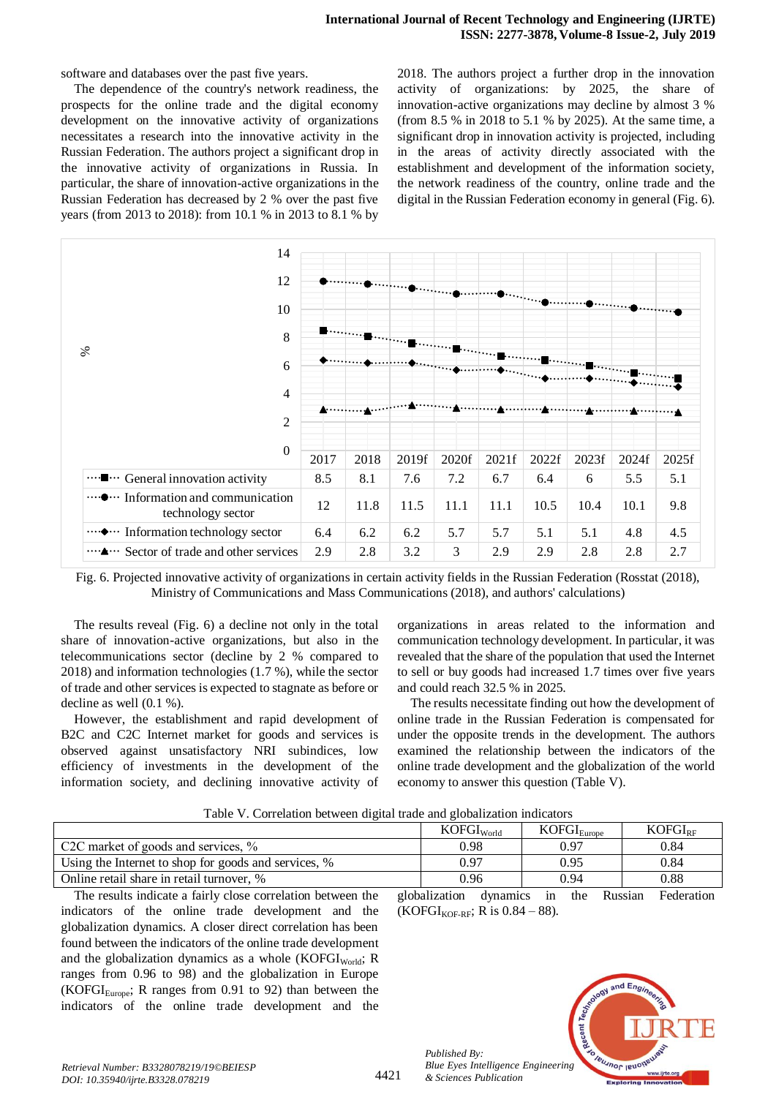software and databases over the past five years.

The dependence of the country's network readiness, the prospects for the online trade and the digital economy development on the innovative activity of organizations necessitates a research into the innovative activity in the Russian Federation. The authors project a significant drop in the innovative activity of organizations in Russia. In particular, the share of innovation-active organizations in the Russian Federation has decreased by 2 % over the past five years (from 2013 to 2018): from 10.1 % in 2013 to 8.1 % by 2018. The authors project a further drop in the innovation activity of organizations: by 2025, the share of innovation-active organizations may decline by almost 3 % (from 8.5 % in 2018 to 5.1 % by 2025). At the same time, a significant drop in innovation activity is projected, including in the areas of activity directly associated with the establishment and development of the information society, the network readiness of the country, online trade and the digital in the Russian Federation economy in general (Fig. 6).

| 14                                                                                   |                  |      |       |       |       |       |       |       |       |
|--------------------------------------------------------------------------------------|------------------|------|-------|-------|-------|-------|-------|-------|-------|
| 12                                                                                   |                  |      |       |       |       |       |       |       |       |
| 10<br>8                                                                              |                  |      |       |       |       |       |       |       |       |
| $\aleph$<br>6                                                                        |                  |      |       |       |       |       |       |       |       |
| $\overline{4}$<br>$\overline{2}$                                                     | $\blacktriangle$ |      |       |       |       |       |       |       |       |
| $\boldsymbol{0}$                                                                     | 2017             | 2018 | 2019f | 2020f | 2021f | 2022f | 2023f | 2024f | 2025f |
| … • General innovation activity                                                      | 8.5              | 8.1  | 7.6   | 7.2   | 6.7   | 6.4   | 6     | 5.5   | 5.1   |
| $\mathbf{I}$ $\cdots$ Information and communication<br>$\cdots$<br>technology sector | 12               | 11.8 | 11.5  | 11.1  | 11.1  | 10.5  | 10.4  | 10.1  | 9.8   |
| ····◆··· Information technology sector                                               | 6.4              | 6.2  | 6.2   | 5.7   | 5.7   | 5.1   | 5.1   | 4.8   | 4.5   |
| … Sector of trade and other services                                                 | 2.9              | 2.8  | 3.2   | 3     | 2.9   | 2.9   | 2.8   | 2.8   | 2.7   |

Fig. 6. Projected innovative activity of organizations in certain activity fields in the Russian Federation (Rosstat (2018), Ministry of Communications and Mass Communications (2018), and authors' calculations)

The results reveal (Fig. 6) a decline not only in the total share of innovation-active organizations, but also in the telecommunications sector (decline by 2 % compared to 2018) and information technologies (1.7 %), while the sector of trade and other services is expected to stagnate as before or decline as well (0.1 %).

However, the establishment and rapid development of B2C and C2C Internet market for goods and services is observed against unsatisfactory NRI subindices, low efficiency of investments in the development of the information society, and declining innovative activity of

organizations in areas related to the information and communication technology development. In particular, it was revealed that the share of the population that used the Internet to sell or buy goods had increased 1.7 times over five years and could reach 32.5 % in 2025.

The results necessitate finding out how the development of online trade in the Russian Federation is compensated for under the opposite trends in the development. The authors examined the relationship between the indicators of the online trade development and the globalization of the world economy to answer this question (Table V).

| Table V. Correlation between digital trade and globalization indicators |  |  |  |
|-------------------------------------------------------------------------|--|--|--|
|                                                                         |  |  |  |

|                                                      | KOFGI <sub>World</sub> | KOFGI <sub>Europe</sub> | $KOFGI_{RF}$ |  |  |  |  |  |
|------------------------------------------------------|------------------------|-------------------------|--------------|--|--|--|--|--|
| C2C market of goods and services, $\%$               | 0.98                   | 0.97                    | 0.84         |  |  |  |  |  |
| Using the Internet to shop for goods and services, % | 0.97                   | 0.95                    | 0.84         |  |  |  |  |  |
| Online retail share in retail turnover, %            | 0.96                   | 0.94                    | 0.88         |  |  |  |  |  |
|                                                      |                        |                         |              |  |  |  |  |  |

The results indicate a fairly close correlation between the indicators of the online trade development and the globalization dynamics. A closer direct correlation has been found between the indicators of the online trade development and the globalization dynamics as a whole  $(KOFGI<sub>World</sub>; R)$ ranges from 0.96 to 98) and the globalization in Europe (KOFGI<sub>Europe</sub>; R ranges from 0.91 to 92) than between the indicators of the online trade development and the globalization dynamics in the Russian Federation (KOFGI<sub>KOF-RF</sub>; R is  $0.84 - 88$ ).



*Published By:*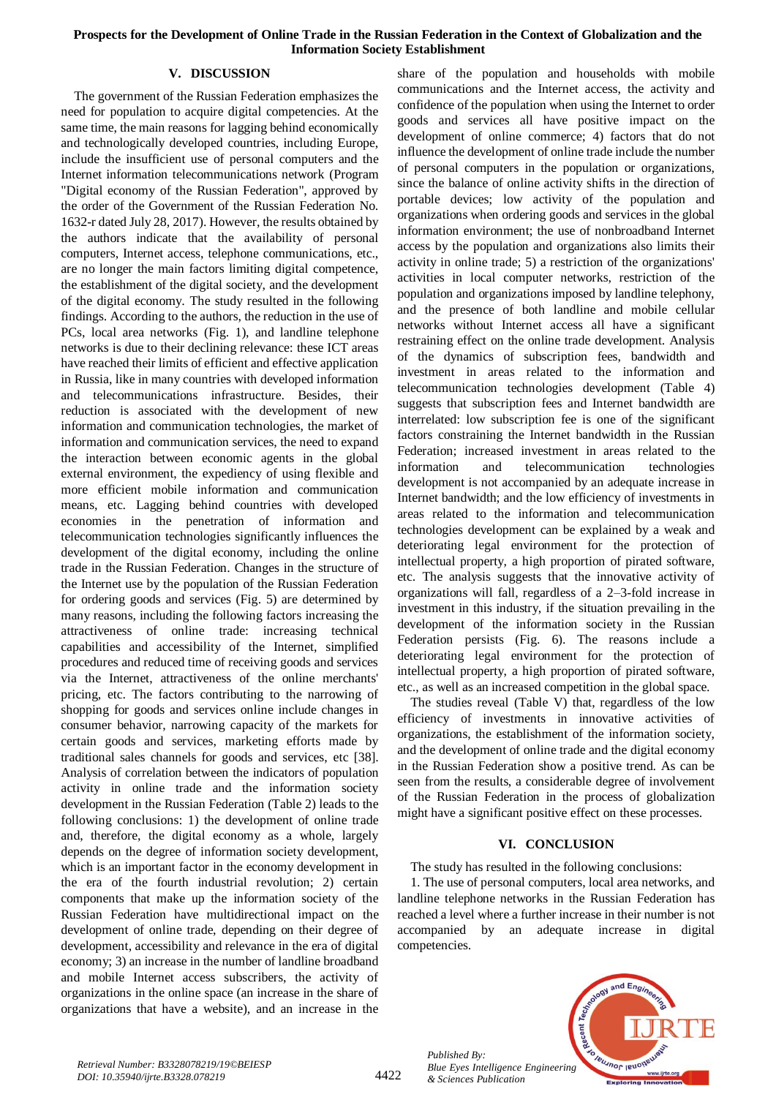## **V. DISCUSSION**

The government of the Russian Federation emphasizes the need for population to acquire digital competencies. At the same time, the main reasons for lagging behind economically and technologically developed countries, including Europe, include the insufficient use of personal computers and the Internet information telecommunications network (Program "Digital economy of the Russian Federation", approved by the order of the Government of the Russian Federation No. 1632-r dated July 28, 2017). However, the results obtained by the authors indicate that the availability of personal computers, Internet access, telephone communications, etc., are no longer the main factors limiting digital competence, the establishment of the digital society, and the development of the digital economy. The study resulted in the following findings. According to the authors, the reduction in the use of PCs, local area networks (Fig. 1), and landline telephone networks is due to their declining relevance: these ICT areas have reached their limits of efficient and effective application in Russia, like in many countries with developed information and telecommunications infrastructure. Besides, their reduction is associated with the development of new information and communication technologies, the market of information and communication services, the need to expand the interaction between economic agents in the global external environment, the expediency of using flexible and more efficient mobile information and communication means, etc. Lagging behind countries with developed economies in the penetration of information and telecommunication technologies significantly influences the development of the digital economy, including the online trade in the Russian Federation. Changes in the structure of the Internet use by the population of the Russian Federation for ordering goods and services (Fig. 5) are determined by many reasons, including the following factors increasing the attractiveness of online trade: increasing technical capabilities and accessibility of the Internet, simplified procedures and reduced time of receiving goods and services via the Internet, attractiveness of the online merchants' pricing, etc. The factors contributing to the narrowing of shopping for goods and services online include changes in consumer behavior, narrowing capacity of the markets for certain goods and services, marketing efforts made by traditional sales channels for goods and services, etc [38]. Analysis of correlation between the indicators of population activity in online trade and the information society development in the Russian Federation (Table 2) leads to the following conclusions: 1) the development of online trade and, therefore, the digital economy as a whole, largely depends on the degree of information society development, which is an important factor in the economy development in the era of the fourth industrial revolution; 2) certain components that make up the information society of the Russian Federation have multidirectional impact on the development of online trade, depending on their degree of development, accessibility and relevance in the era of digital economy; 3) an increase in the number of landline broadband and mobile Internet access subscribers, the activity of organizations in the online space (an increase in the share of organizations that have a website), and an increase in the

share of the population and households with mobile communications and the Internet access, the activity and confidence of the population when using the Internet to order goods and services all have positive impact on the development of online commerce; 4) factors that do not influence the development of online trade include the number of personal computers in the population or organizations, since the balance of online activity shifts in the direction of portable devices; low activity of the population and organizations when ordering goods and services in the global information environment; the use of nonbroadband Internet access by the population and organizations also limits their activity in online trade; 5) a restriction of the organizations' activities in local computer networks, restriction of the population and organizations imposed by landline telephony, and the presence of both landline and mobile cellular networks without Internet access all have a significant restraining effect on the online trade development. Analysis of the dynamics of subscription fees, bandwidth and investment in areas related to the information and telecommunication technologies development (Table 4) suggests that subscription fees and Internet bandwidth are interrelated: low subscription fee is one of the significant factors constraining the Internet bandwidth in the Russian Federation; increased investment in areas related to the information and telecommunication technologies development is not accompanied by an adequate increase in Internet bandwidth; and the low efficiency of investments in areas related to the information and telecommunication technologies development can be explained by a weak and deteriorating legal environment for the protection of intellectual property, a high proportion of pirated software, etc. The analysis suggests that the innovative activity of organizations will fall, regardless of a 2–3-fold increase in investment in this industry, if the situation prevailing in the development of the information society in the Russian Federation persists (Fig. 6). The reasons include a deteriorating legal environment for the protection of intellectual property, a high proportion of pirated software, etc., as well as an increased competition in the global space.

The studies reveal (Table V) that, regardless of the low efficiency of investments in innovative activities of organizations, the establishment of the information society, and the development of online trade and the digital economy in the Russian Federation show a positive trend. As can be seen from the results, a considerable degree of involvement of the Russian Federation in the process of globalization might have a significant positive effect on these processes.

## **VI. CONCLUSION**

## The study has resulted in the following conclusions:

1. The use of personal computers, local area networks, and landline telephone networks in the Russian Federation has reached a level where a further increase in their number is not accompanied by an adequate increase in digital competencies.



*Published By:*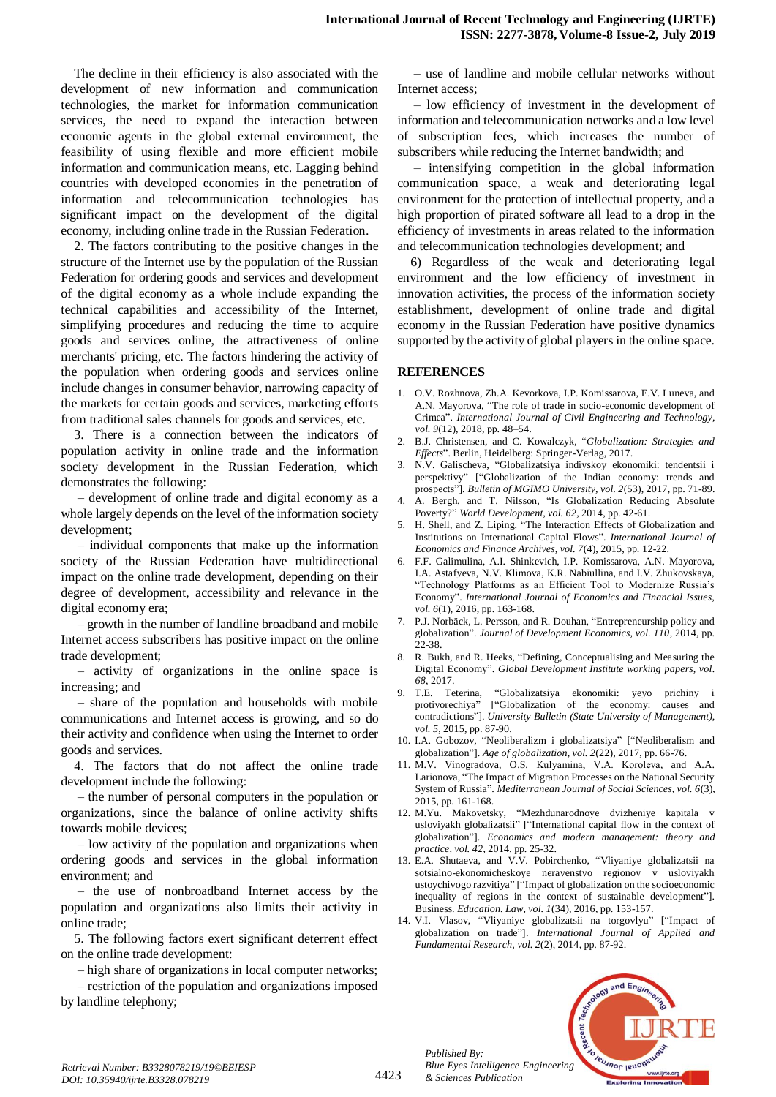The decline in their efficiency is also associated with the development of new information and communication technologies, the market for information communication services, the need to expand the interaction between economic agents in the global external environment, the feasibility of using flexible and more efficient mobile information and communication means, etc. Lagging behind countries with developed economies in the penetration of information and telecommunication technologies has significant impact on the development of the digital economy, including online trade in the Russian Federation.

2. The factors contributing to the positive changes in the structure of the Internet use by the population of the Russian Federation for ordering goods and services and development of the digital economy as a whole include expanding the technical capabilities and accessibility of the Internet, simplifying procedures and reducing the time to acquire goods and services online, the attractiveness of online merchants' pricing, etc. The factors hindering the activity of the population when ordering goods and services online include changes in consumer behavior, narrowing capacity of the markets for certain goods and services, marketing efforts from traditional sales channels for goods and services, etc.

3. There is a connection between the indicators of population activity in online trade and the information society development in the Russian Federation, which demonstrates the following:

– development of online trade and digital economy as a whole largely depends on the level of the information society development;

– individual components that make up the information society of the Russian Federation have multidirectional impact on the online trade development, depending on their degree of development, accessibility and relevance in the digital economy era;

– growth in the number of landline broadband and mobile Internet access subscribers has positive impact on the online trade development;

– activity of organizations in the online space is increasing; and

– share of the population and households with mobile communications and Internet access is growing, and so do their activity and confidence when using the Internet to order goods and services.

4. The factors that do not affect the online trade development include the following:

– the number of personal computers in the population or organizations, since the balance of online activity shifts towards mobile devices;

– low activity of the population and organizations when ordering goods and services in the global information environment; and

– the use of nonbroadband Internet access by the population and organizations also limits their activity in online trade;

5. The following factors exert significant deterrent effect on the online trade development:

– high share of organizations in local computer networks;

– restriction of the population and organizations imposed by landline telephony;

– use of landline and mobile cellular networks without Internet access;

– low efficiency of investment in the development of information and telecommunication networks and a low level of subscription fees, which increases the number of subscribers while reducing the Internet bandwidth; and

– intensifying competition in the global information communication space, a weak and deteriorating legal environment for the protection of intellectual property, and a high proportion of pirated software all lead to a drop in the efficiency of investments in areas related to the information and telecommunication technologies development; and

6) Regardless of the weak and deteriorating legal environment and the low efficiency of investment in innovation activities, the process of the information society establishment, development of online trade and digital economy in the Russian Federation have positive dynamics supported by the activity of global players in the online space.

## **REFERENCES**

- 1. O.V. Rozhnova, Zh.A. Kevorkova, I.P. Komissarova, E.V. Luneva, and A.N. Mayorova, "The role of trade in socio-economic development of Crimea". *International Journal of Civil Engineering and Technology, vol. 9*(12), 2018, pp. 48–54.
- 2. B.J. Christensen, and C. Kowalczyk, "*Globalization: Strategies and Effects*". Berlin, Heidelberg: Springer-Verlag, 2017.
- 3. N.V. Galischeva, "Globalizatsiya indiyskoy ekonomiki: tendentsii i perspektivy" ["Globalization of the Indian economy: trends and prospects"]. *Bulletin of MGIMO University, vol. 2*(53), 2017, pp. 71-89.
- 4. A. Bergh, and T. Nilsson, "Is Globalization Reducing Absolute Poverty?" *World Development, vol. 62*, 2014, pp. 42-61.
- 5. H. Shell, and Z. Liping, "The Interaction Effects of Globalization and Institutions on International Capital Flows". *International Journal of Economics and Finance Archives, vol. 7*(4), 2015, pp. 12-22.
- 6. F.F. Galimulina, A.I. Shinkevich, I.P. Komissarova, A.N. Mayorova, I.A. Astafyeva, N.V. Klimova, K.R. Nabiullina, and I.V. Zhukovskaya, "Technology Platforms as an Efficient Tool to Modernize Russia's Economy". *International Journal of Economics and Financial Issues, vol. 6*(1), 2016, pp. 163-168.
- 7. P.J. Norbäck, L. Persson, and R. Douhan, "Entrepreneurship policy and globalization". *Journal of Development Economics, vol. 110*, 2014, pp. 22-38
- 8. R. Bukh, and R. Heeks, "Defining, Conceptualising and Measuring the Digital Economy". *Global Development Institute working papers, vol. 68*, 2017.
- 9. T.E. Teterina, "Globalizatsiya ekonomiki: yeyo prichiny i protivorechiya" ["Globalization of the economy: causes and contradictions"]. *University Bulletin (State University of Management), vol. 5*, 2015, pp. 87-90.
- 10. I.A. Gobozov, "Neoliberalizm i globalizatsiya" ["Neoliberalism and globalization"]. *Age of globalization, vol. 2*(22), 2017, pp. 66-76.
- 11. M.V. Vinogradova, O.S. Kulyamina, V.А. Koroleva, and A.A. Larionova, "The Impact of Migration Processes on the National Security System of Russia". *Mediterranean Journal of Social Sciences, vol. 6*(3), 2015, pp. 161-168.
- 12. M.Yu. Makovetsky, "Mezhdunarodnoye dvizheniye kapitala v usloviyakh globalizatsii" ["International capital flow in the context of globalization"]. *Economics and modern management: theory and practice, vol. 42*, 2014, pp. 25-32.
- 13. E.A. Shutaeva, and V.V. Pobirchenko, "Vliyaniye globalizatsii na sotsialno-ekonomicheskoye neravenstvo regionov v usloviyakh ustoychivogo razvitiya" ["Impact of globalization on the socioeconomic inequality of regions in the context of sustainable development"]. Business. *Education. Law, vol. 1*(34), 2016, pp. 153-157.
- 14. V.I. Vlasov, "Vliyaniye globalizatsii na torgovlyu" ["Impact of globalization on trade"]. *International Journal of Applied and Fundamental Research, vol. 2*(2), 2014, pp. 87-92.



*Published By:*